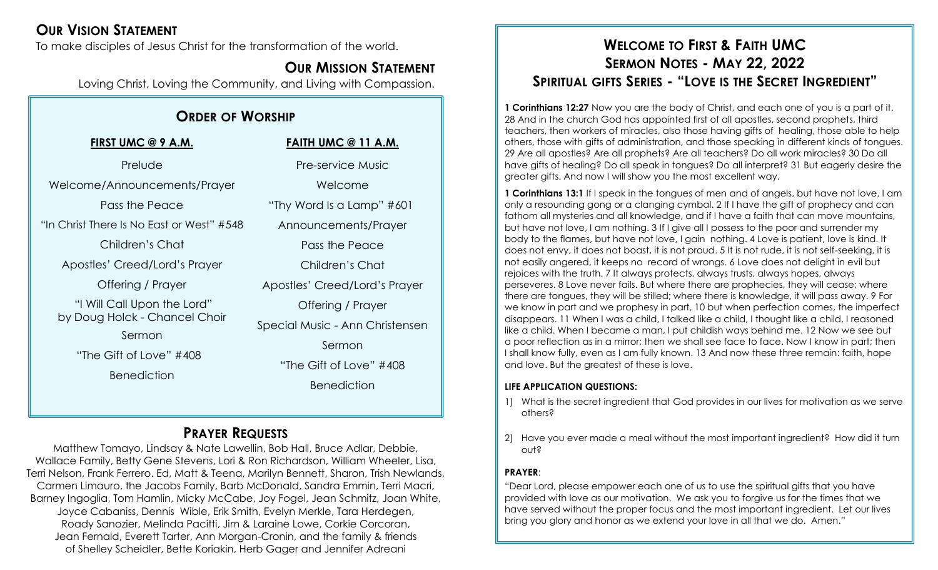## **OUR VISION STATEMENT**

To make disciples of Jesus Christ for the transformation of the world.

## **OUR MISSION STATEMENT**

Loving Christ, Loving the Community, and Living with Compassion.

## **ORDER OF WORSHIP**

**FIRST UMC @ 9 A.M.** Prelude Welcome/Announcements/Prayer Pass the Peace "In Christ There Is No East or West" #548 Children's Chat Apostles' Creed/Lord's Prayer Offering / Prayer "I Will Call Upon the Lord" by Doug Holck - Chancel Choir Sermon "The Gift of Love" #408 Benediction

**FAITH UMC @ 11 A.M.** Pre-service Music Welcome "Thy Word Is a Lamp" #601 Announcements/Prayer Pass the Peace Children's Chat Apostles' Creed/Lord's Prayer Offering / Prayer Special Music - Ann Christensen Sermon "The Gift of Love" #408 **Benediction** 

## **PRAYER REQUESTS**

Matthew Tomayo, Lindsay & Nate Lawellin, Bob Hall, Bruce Adlar, Debbie, Wallace Family, Betty Gene Stevens, Lori & Ron Richardson, William Wheeler, Lisa, Terri Nelson, Frank Ferrero. Ed, Matt & Teena, Marilyn Bennett, Sharon, Trish Newlands, Carmen Limauro, the Jacobs Family, Barb McDonald, Sandra Emmin, Terri Macri, Barney Ingoglia, Tom Hamlin, Micky McCabe, Joy Fogel, Jean Schmitz, Joan White, Joyce Cabaniss, Dennis Wible, Erik Smith, Evelyn Merkle, Tara Herdegen, Roady Sanozier, Melinda Pacitti, Jim & Laraine Lowe, Corkie Corcoran, Jean Fernald, Everett Tarter, Ann Morgan-Cronin, and the family & friends of Shelley Scheidler, Bette Koriakin, Herb Gager and Jennifer Adreani

## **WELCOME TO FIRST & FAITH UMC SERMON NOTES - MAY 22, 2022 SPIRITUAL GIFTS SERIES - "LOVE IS THE SECRET INGREDIENT"**

**1 Corinthians 12:27** Now you are the body of Christ, and each one of you is a part of it. 28 And in the church God has appointed first of all apostles, second prophets, third teachers, then workers of miracles, also those having gifts of healing, those able to help others, those with gifts of administration, and those speaking in different kinds of tongues. 29 Are all apostles? Are all prophets? Are all teachers? Do all work miracles? 30 Do all have gifts of healing? Do all speak in tongues? Do all interpret? 31 But eagerly desire the greater gifts. And now I will show you the most excellent way.

**1 Corinthians 13:1** If I speak in the tongues of men and of angels, but have not love, I am only a resounding gong or a clanging cymbal. 2 If I have the gift of prophecy and can fathom all mysteries and all knowledge, and if I have a faith that can move mountains, but have not love, I am nothing. 3 If I give all I possess to the poor and surrender my body to the flames, but have not love, I gain nothing. 4 Love is patient, love is kind. It does not envy, it does not boast, it is not proud. 5 It is not rude, it is not self-seeking, it is not easily angered, it keeps no record of wrongs. 6 Love does not delight in evil but rejoices with the truth. 7 It always protects, always trusts, always hopes, always perseveres. 8 Love never fails. But where there are prophecies, they will cease; where there are tongues, they will be stilled; where there is knowledge, it will pass away. 9 For we know in part and we prophesy in part, 10 but when perfection comes, the imperfect disappears. 11 When I was a child, I talked like a child, I thought like a child, I reasoned like a child. When I became a man, I put childish ways behind me. 12 Now we see but a poor reflection as in a mirror; then we shall see face to face. Now I know in part; then I shall know fully, even as I am fully known. 13 And now these three remain: faith, hope and love. But the greatest of these is love.

#### **LIFE APPLICATION QUESTIONS:**

- 1) What is the secret ingredient that God provides in our lives for motivation as we serve others?
- 2) Have you ever made a meal without the most important ingredient? How did it turn out?

#### **PRAYER**:

"Dear Lord, please empower each one of us to use the spiritual gifts that you have provided with love as our motivation. We ask you to forgive us for the times that we have served without the proper focus and the most important ingredient. Let our lives bring you glory and honor as we extend your love in all that we do. Amen."